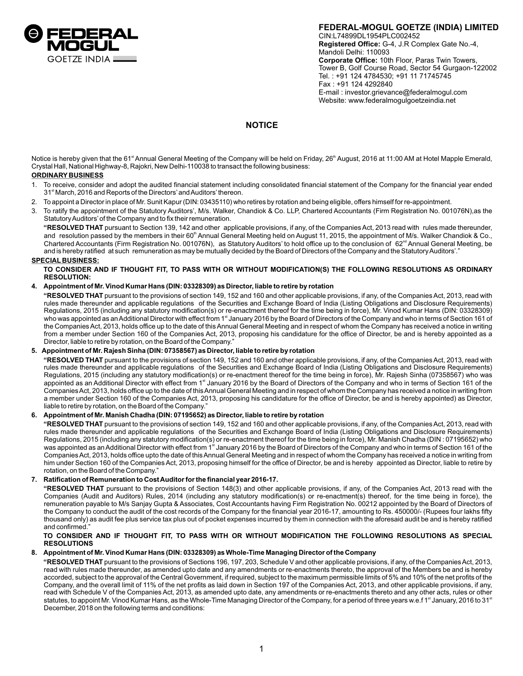

**FEDERAL-MOGUL GOETZE (INDIA) LIMITED** CIN:L74899DL1954PLC002452 **Registered Office:** G-4, J.R Complex Gate No.-4, Mandoli Delhi: 110093 **Corporate Office:** 10th Floor, Paras Twin Towers, Tower B, Golf Course Road, Sector 54 Gurgaon-122002 Tel. : +91 124 4784530; +91 11 71745745 Fax : +91 124 4292840 E-mail : investor.grievance@federalmogul.com Website: www.federalmogulgoetzeindia.net

# **NOTICE**

Notice is hereby given that the 61<sup>\*</sup> Annual General Meeting of the Company will be held on Friday, 26<sup>th</sup> August, 2016 at 11:00 AM at Hotel Mapple Emerald, Crystal Hall, National Highway-8, Rajokri, New Delhi-110038 to transact the following business:

# **ORDINARY BUSINESS**

- 1. To receive, consider and adopt the audited financial statement including consolidated financial statement of the Company for the financial year ended 31<sup>st</sup> March, 2016 and Reports of the Directors' and Auditors' thereon.
- 2. To appoint a Director in place of Mr. Sunit Kapur (DIN: 03435110) who retires by rotation and being eligible, offers himself for re-appointment.
- 3. To ratify the appointment of the Statutory Auditors', M/s. Walker, Chandiok & Co. LLP, Chartered Accountants (Firm Registration No. 001076N),as the Statutory Auditors'of the Company and to fix their remuneration.

**"RESOLVED THAT** pursuant to Section 139, 142 and other applicable provisions, if any, of the Companies Act, 2013 read with rules made thereunder, and resolution passed by the members in their 60<sup>th</sup> Annual General Meeting held on August 11, 2015, the appointment of M/s. Walker Chandiok & Co., Chartered Accountants (Firm Registration No. 001076N), as Statutory Auditors' to hold office up to the conclusion of  $62^{\text{nd}}$  Annual General Meeting, be and is hereby ratified at such remuneration as may be mutually decided by the Board of Directors of the Company and the Statutory Auditors'."

# **SPECIAL BUSINESS:**

**TO CONSIDER AND IF THOUGHT FIT, TO PASS WITH OR WITHOUT MODIFICATION(S) THE FOLLOWING RESOLUTIONS AS ORDINARY RESOLUTION:**

# **4. Appointment of Mr. Vinod Kumar Hans (DIN: 03328309) as Director, liable to retire by rotation**

**"RESOLVED THAT** pursuant to the provisions of section 149, 152 and 160 and other applicable provisions, if any, of the Companies Act, 2013, read with rules made thereunder and applicable regulations of the Securities and Exchange Board of India (Listing Obligations and Disclosure Requirements) Regulations, 2015 (including any statutory modification(s) or re-enactment thereof for the time being in force), Mr. Vinod Kumar Hans (DIN: 03328309) who was appointed as an Additional Director with effect from 1<sup>st</sup> January 2016 by the Board of Directors of the Company and who in terms of Section 161 of the Companies Act, 2013, holds office up to the date of this Annual General Meeting and in respect of whom the Company has received a notice in writing from a member under Section 160 of the Companies Act, 2013, proposing his candidature for the office of Director, be and is hereby appointed as a Director, liable to retire by rotation, on the Board of the Company."

# **5. Appointment of Mr. Rajesh Sinha (DIN: 07358567) as Director, liable to retire by rotation**

**"RESOLVED THAT** pursuant to the provisions of section 149, 152 and 160 and other applicable provisions, if any, of the Companies Act, 2013, read with rules made thereunder and applicable regulations of the Securities and Exchange Board of India (Listing Obligations and Disclosure Requirements) Regulations, 2015 (including any statutory modification(s) or re-enactment thereof for the time being in force), Mr. Rajesh Sinha (07358567) who was appointed as an Additional Director with effect from 1<sup>st</sup> January 2016 by the Board of Directors of the Company and who in terms of Section 161 of the Companies Act, 2013, holds office up to the date of this Annual General Meeting and in respect of whom the Company has received a notice in writing from a member under Section 160 of the Companies Act, 2013, proposing his candidature for the office of Director, be and is hereby appointed) as Director, liable to retire by rotation, on the Board of the Company."

# **6. Appointment of Mr. Manish Chadha (DIN: 07195652) as Director, liable to retire by rotation**

**"RESOLVED THAT** pursuant to the provisions of section 149, 152 and 160 and other applicable provisions, if any, of the Companies Act, 2013, read with rules made thereunder and applicable regulations of the Securities and Exchange Board of India (Listing Obligations and Disclosure Requirements) Regulations, 2015 (including any statutory modification(s) or re-enactment thereof for the time being in force), Mr. Manish Chadha (DIN : 07195652) who was appointed as an Additional Director with effect from 1<sup>st</sup> January 2016 by the Board of Directors of the Company and who in terms of Section 161 of the Companies Act, 2013, holds office upto the date of this Annual General Meeting and in respect of whom the Company has received a notice in writing from him under Section 160 of the Companies Act, 2013, proposing himself for the office of Director, be and is hereby appointed as Director, liable to retire by rotation, on the Board of the Company."

# **7. Ratification of Remuneration to Cost Auditor for the financial year 2016-17.**

**"RESOLVED THAT** pursuant to the provisions of Section 148(3) and other applicable provisions, if any, of the Companies Act, 2013 read with the Companies (Audit and Auditors) Rules, 2014 (including any statutory modification(s) or re-enactment(s) thereof, for the time being in force), the remuneration payable to M/s Sanjay Gupta & Associates, Cost Accountants having Firm Registration No. 00212 appointed by the Board of Directors of the Company to conduct the audit of the cost records of the Company for the financial year 2016-17, amounting to Rs. 450000/- (Rupees four lakhs fifty thousand only) as audit fee plus service tax plus out of pocket expenses incurred by them in connection with the aforesaid audit be and is hereby ratified and confirmed."

## **TO CONSIDER AND IF THOUGHT FIT, TO PASS WITH OR WITHOUT MODIFICATION THE FOLLOWING RESOLUTIONS AS SPECIAL RESOLUTIONS**

# **8. Appointment of Mr. Vinod Kumar Hans (DIN: 03328309) as Whole-Time Managing Director of the Company**

**"RESOLVED THAT** pursuant to the provisions of Sections 196, 197, 203, Schedule V and other applicable provisions, if any, of the Companies Act, 2013, read with rules made thereunder, as amended upto date and any amendments or re-enactments thereto, the approval of the Members be and is hereby accorded, subject to the approval of the Central Government, if required, subject to the maximum permissible limits of 5% and 10% of the net profits of the Company, and the overall limit of 11% of the net profits as laid down in Section 197 of the Companies Act, 2013, and other applicable provisions, if any, read with Schedule V of the Companies Act, 2013, as amended upto date, any amendments or re-enactments thereto and any other acts, rules or other statutes, to appoint Mr. Vinod Kumar Hans, as the Whole-Time Managing Director of the Company, for a period of three years w.e.f 1st January, 2016 to 31st December, 2018 on the following terms and conditions: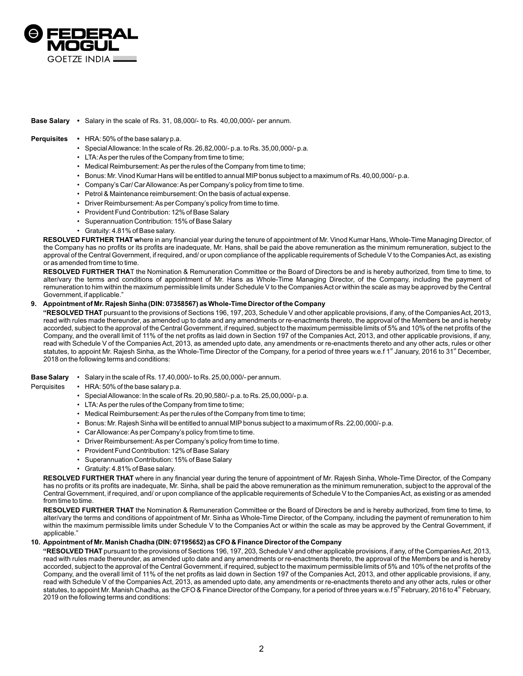

## **Base Salary •** Salary in the scale of Rs. 31, 08,000/- to Rs. 40,00,000/- per annum.

## **Perquisites •** HRA: 50% of the base salary p.a.

- Special Allowance: In the scale of Rs. 26,82,000/- p.a. to Rs. 35,00,000/- p.a.
- LTA: As per the rules of the Company from time to time;
- Medical Reimbursement: As per the rules of the Company from time to time;
- Bonus: Mr. Vinod Kumar Hans will be entitled to annual MIP bonus subject to a maximum of Rs. 40,00,000/-p.a.
- Company's Car/ Car Allowance: As per Company's policy from time to time.
- Petrol & Maintenance reimbursement: On the basis of actual expense.
- Driver Reimbursement: As per Company's policy from time to time.
- Provident Fund Contribution: 12% of Base Salary
- Superannuation Contribution: 15% of Base Salary
- Gratuity: 4.81% of Base salary.

**RESOLVED FURTHER THAT w**here in any financial year during the tenure of appointment of Mr. Vinod Kumar Hans, Whole-Time Managing Director, of the Company has no profits or its profits are inadequate, Mr. Hans, shall be paid the above remuneration as the minimum remuneration, subject to the approval of the Central Government, if required, and/ or upon compliance of the applicable requirements of Schedule V to the Companies Act, as existing or as amended from time to time.

**RESOLVED FURTHER THA**T the Nomination & Remuneration Committee or the Board of Directors be and is hereby authorized, from time to time, to alter/vary the terms and conditions of appointment of Mr. Hans as Whole-Time Managing Director, of the Company, including the payment of remuneration to him within the maximum permissible limits under Schedule V to the Companies Act or within the scale as may be approved by the Central Government, if applicable."

## **9. Appointment of Mr. Rajesh Sinha (DIN: 07358567) as Whole-Time Director of the Company**

**"RESOLVED THAT** pursuant to the provisions of Sections 196, 197, 203, Schedule V and other applicable provisions, if any, of the Companies Act, 2013, read with rules made thereunder, as amended up to date and any amendments or re-enactments thereto, the approval of the Members be and is hereby accorded, subject to the approval of the Central Government, if required, subject to the maximum permissible limits of 5% and 10% of the net profits of the Company, and the overall limit of 11% of the net profits as laid down in Section 197 of the Companies Act, 2013, and other applicable provisions, if any, read with Schedule V of the Companies Act, 2013, as amended upto date, any amendments or re-enactments thereto and any other acts, rules or other statutes, to appoint Mr. Rajesh Sinha, as the Whole-Time Director of the Company, for a period of three years w.e.f 1<sup>st</sup> January, 2016 to 31<sup>st</sup> December, 2018 on the following terms and conditions:

### **Base Salary** • Salary in the scale of Rs. 17,40,000/- to Rs. 25,00,000/- per annum.

### Perquisites • HRA: 50% of the base salary p.a.

- Special Allowance: In the scale of Rs. 20,90,580/- p.a. to Rs. 25,00,000/- p.a.
- LTA: As per the rules of the Company from time to time;
- Medical Reimbursement: As per the rules of the Company from time to time;
- Bonus: Mr. Rajesh Sinha will be entitled to annual MIPbonus subject to a maximum of Rs. 22,00,000/- p.a.
- Car Allowance: As per Company's policy from time to time.
- Driver Reimbursement: As per Company's policy from time to time.
- Provident Fund Contribution: 12% of Base Salary
- Superannuation Contribution: 15% of Base Salary
- Gratuity: 4.81% of Base salary.

**RESOLVED FURTHER THAT** where in any financial year during the tenure of appointment of Mr. Rajesh Sinha, Whole-Time Director, of the Company has no profits or its profits are inadequate, Mr. Sinha, shall be paid the above remuneration as the minimum remuneration, subject to the approval of the Central Government, if required, and/ or upon compliance of the applicable requirements of Schedule V to the Companies Act, as existing or as amended from time to time.

**RESOLVED FURTHER THAT** the Nomination & Remuneration Committee or the Board of Directors be and is hereby authorized, from time to time, to alter/vary the terms and conditions of appointment of Mr. Sinha as Whole-Time Director, of the Company, including the payment of remuneration to him within the maximum permissible limits under Schedule V to the Companies Act or within the scale as may be approved by the Central Government, if applicable."

### **10. Appointment of Mr. Manish Chadha (DIN: 07195652) as CFO & Finance Director of the Company**

**"RESOLVED THAT** pursuant to the provisions of Sections 196, 197, 203, Schedule V and other applicable provisions, if any, of the Companies Act, 2013, read with rules made thereunder, as amended upto date and any amendments or re-enactments thereto, the approval of the Members be and is hereby accorded, subject to the approval of the Central Government, if required, subject to the maximum permissible limits of 5% and 10% of the net profits of the Company, and the overall limit of 11% of the net profits as laid down in Section 197 of the Companies Act, 2013, and other applicable provisions, if any, read with Schedule V of the Companies Act, 2013, as amended upto date, any amendments or re-enactments thereto and any other acts, rules or other statutes, to appoint Mr. Manish Chadha, as the CFO & Finance Director of the Company, for a period of three years w.e.f 5<sup>th</sup> February, 2016 to 4<sup>th</sup> February, 2019 on the following terms and conditions: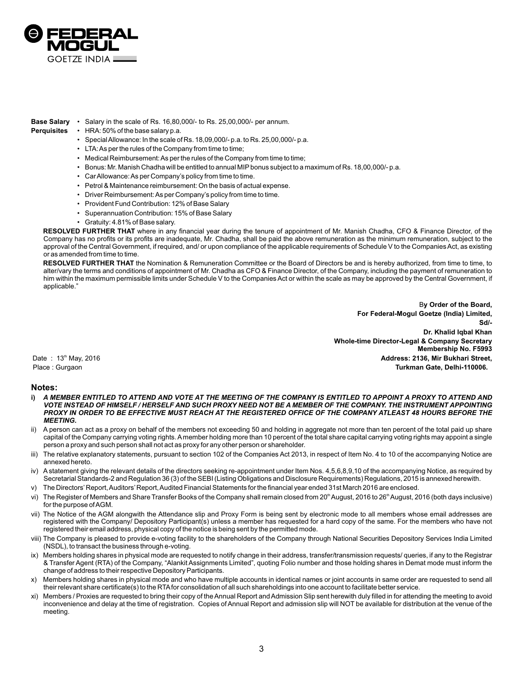

# **Base Salary** • Salary in the scale of Rs. 16,80,000/- to Rs. 25,00,000/- per annum.

- **Perquisites**  HRA: 50% of the base salary p.a.
	- Special Allowance: In the scale of Rs. 18,09,000/- p.a. to Rs. 25,00,000/- p.a.
		- LTA: As per the rules of the Company from time to time;
		- Medical Reimbursement: As per the rules of the Company from time to time;
		- Bonus: Mr. Manish Chadha will be entitled to annual MIPbonus subject to a maximum of Rs. 18,00,000/- p.a.
		- Car Allowance: As per Company's policy from time to time.
		- Petrol & Maintenance reimbursement: On the basis of actual expense.
		- Driver Reimbursement: As per Company's policy from time to time.
		- Provident Fund Contribution: 12% of Base Salary
		- Superannuation Contribution: 15% of Base Salary
		- Gratuity: 4.81% of Base salary.

**RESOLVED FURTHER THAT** where in any financial year during the tenure of appointment of Mr. Manish Chadha, CFO & Finance Director, of the Company has no profits or its profits are inadequate, Mr. Chadha, shall be paid the above remuneration as the minimum remuneration, subject to the approval of the Central Government, if required, and/ or upon compliance of the applicable requirements of Schedule V to the Companies Act, as existing or as amended from time to time.

**RESOLVED FURTHER THAT** the Nomination & Remuneration Committee or the Board of Directors be and is hereby authorized, from time to time, to alter/vary the terms and conditions of appointment of Mr. Chadha as CFO & Finance Director, of the Company, including the payment of remuneration to him within the maximum permissible limits under Schedule V to the Companies Act or within the scale as may be approved by the Central Government, if applicable."

B**y Order of the Board, For Federal-Mogul Goetze (India) Limited, Sd/- Dr. Khalid Iqbal Khan Whole-time Director-Legal & Company Secretary Membership No. F5993** th Date : 13 May, 2016 **Address: 2136, Mir Bukhari Street,**  Place : Gurgaon **Turkman Gate, Delhi-110006.**

# **Notes:**

- **i)** *A MEMBER ENTITLED TO ATTEND AND VOTE AT THE MEETING OF THE COMPANY IS ENTITLED TO APPOINT A PROXY TO ATTEND AND VOTE INSTEAD OF HIMSELF / HERSELF AND SUCH PROXY NEED NOT BE A MEMBER OF THE COMPANY. THE INSTRUMENT APPOINTING PROXY IN ORDER TO BE EFFECTIVE MUST REACH AT THE REGISTERED OFFICE OF THE COMPANY ATLEAST 48 HOURS BEFORE THE MEETING***.**
- ii) A person can act as a proxy on behalf of the members not exceeding 50 and holding in aggregate not more than ten percent of the total paid up share capital of the Company carrying voting rights. Amember holding more than 10 percent of the total share capital carrying voting rights may appoint a single person a proxy and such person shall not act as proxy for any other person or shareholder.
- iii) The relative explanatory statements, pursuant to section 102 of the Companies Act 2013, in respect of Item No. 4 to 10 of the accompanying Notice are annexed hereto.
- iv) Astatement giving the relevant details of the directors seeking re-appointment under Item Nos. 4,5,6,8,9,10 of the accompanying Notice, as required by Secretarial Standards-2 and Regulation 36 (3) of the SEBI (Listing Obligations and Disclosure Requirements) Regulations, 2015 is annexed herewith.
- v) The Directors'Report, Auditors'Report, Audited Financial Statements for the financial year ended 31st March 2016 are enclosed.
- vi) The Register of Members and Share Transfer Books of the Company shall remain closed from 20<sup>th</sup> August, 2016 to 26<sup>th</sup> August, 2016 (both days inclusive) for the purpose of AGM.
- vii) The Notice of the AGM alongwith the Attendance slip and Proxy Form is being sent by electronic mode to all members whose email addresses are registered with the Company/ Depository Participant(s) unless a member has requested for a hard copy of the same. For the members who have not registered their email address, physical copy of the notice is being sent by the permitted mode.
- viii) The Company is pleased to provide e-voting facility to the shareholders of the Company through National Securities Depository Services India Limited (NSDL), to transact the business through e-voting.
- ix) Members holding shares in physical mode are requested to notify change in their address, transfer/transmission requests/ queries, if any to the Registrar & Transfer Agent (RTA) of the Company, "Alankit Assignments Limited", quoting Folio number and those holding shares in Demat mode must inform the change of address to their respective Depository Participants.
- Members holding shares in physical mode and who have multiple accounts in identical names or joint accounts in same order are requested to send all their relevant share certificate(s) to the RTAfor consolidation of all such shareholdings into one account to facilitate better service.
- xi) Members / Proxies are requested to bring their copy of the Annual Report and Admission Slip sent herewith duly filled in for attending the meeting to avoid inconvenience and delay at the time of registration. Copies of Annual Report and admission slip will NOT be available for distribution at the venue of the meeting.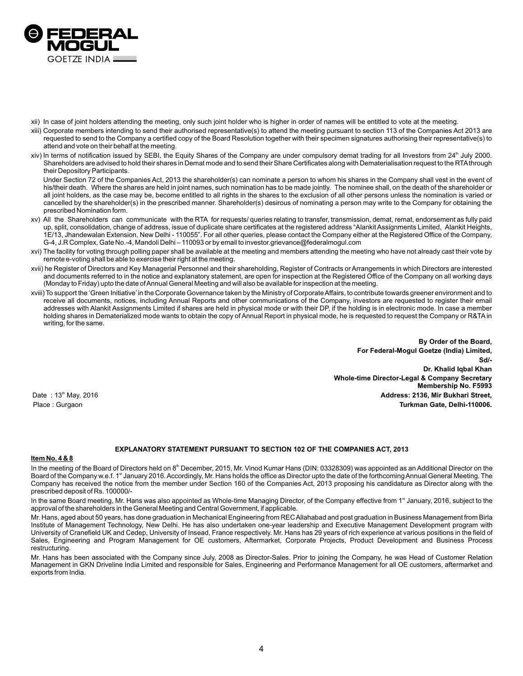

- xii) In case of joint holders attending the meeting, only such joint holder who is higher in order of names will be entitled to vote at the meeting.
- xiii) Corporate members intending to send their authorised representative(s) to attend the meeting pursuant to section 113 of the Companies Act 2013 are requested to send to the Company a certified copy of the Board Resolution together with their specimen signatures authorising their representative(s) to attend and vote on their behalf at the meeting.
- xiv) In terms of notification issued by SEBI, the Equity Shares of the Company are under compulsory demat trading for all Investors from  $24<sup>th</sup>$  July 2000. Shareholders are advised to hold their shares in Demat mode and to send their Share Certificates along with Dematerialisation request to the RTAthrough their Depository Participants.

Under Section 72 of the Companies Act, 2013 the shareholder(s) can nominate a person to whom his shares in the Company shall vest in the event of his/their death. Where the shares are held in joint names, such nomination has to be made jointly. The nominee shall, on the death of the shareholder or all joint holders, as the case may be, become entitled to all rights in the shares to the exclusion of all other persons unless the nomination is varied or cancelled by the shareholder(s) in the prescribed manner. Shareholder(s) desirous of nominating a person may write to the Company for obtaining the prescribed Nomination form.

- xv) All the Shareholders can communicate with the RTA for requests/ queries relating to transfer, transmission, demat, remat, endorsement as fully paid up, split, consolidation, change of address, issue of duplicate share certificates at the registered address "Alankit Assignments Limited, Alankit Heights, 1E/13, Jhandewalan Extension, New Delhi - 110055". For all other queries, please contact the Company either at the Registered Office of the Company, G-4, J.R Complex, Gate No.-4, Mandoli Delhi – 110093 or by email to investor.grievance@federalmogul.com
- xvi) The facility for voting through polling paper shall be available at the meeting and members attending the meeting who have not already cast their vote by remote e-voting shall be able to exercise their right at the meeting.
- xvii) he Register of Directors and Key Managerial Personnel and their shareholding, Register of Contracts or Arrangements in which Directors are interested and documents referred to in the notice and explanatory statement, are open for inspection at the Registered Office of the Company on all working days (Monday to Friday) upto the date of Annual General Meeting and will also be available for inspection at the meeting.
- xviii) To support the 'Green Initiative' in the Corporate Governance taken by the Ministry of Corporate Affairs, to contribute towards greener environment and to receive all documents, notices, including Annual Reports and other communications of the Company, investors are requested to register their email addresses with Alankit Assignments Limited if shares are held in physical mode or with their DP, if the holding is in electronic mode. In case a member holding shares in Dematerialized mode wants to obtain the copy of Annual Report in physical mode, he is requested to request the Company or R&TA in writing, for the same.

**By Order of the Board, For Federal-Mogul Goetze (India) Limited, Sd/- Dr. Khalid Iqbal Khan Whole-time Director-Legal & Company Secretary Membership No. F5993** th Date : 13 May, 2016 **Address: 2136, Mir Bukhari Street,**  Place : Gurgaon **Turkman Gate, Delhi-110006.**

# **EXPLANATORY STATEMENT PURSUANT TO SECTION 102 OF THE COMPANIES ACT, 2013**

# **Item No. 4 & 8**

In the meeting of the Board of Directors held on 8<sup>th</sup> December, 2015, Mr. Vinod Kumar Hans (DIN: 03328309) was appointed as an Additional Director on the Board of the Company w.e.f. 1<sup>st</sup> January 2016. Accordingly, Mr. Hans holds the office as Director upto the date of the forthcoming Annual General Meeting. The Company has received the notice from the member under Section 160 of the Companies Act, 2013 proposing his candidature as Director along with the prescribed deposit of Rs. 100000/-

In the same Board meeting, Mr. Hans was also appointed as Whole-time Managing Director, of the Company effective from 1<sup>st</sup> January, 2016, subject to the approval of the shareholders in the General Meeting and Central Government, if applicable.

Mr. Hans, aged about 50 years, has done graduation in Mechanical Engineering from REC Allahabad and post graduation in Business Management from Birla Institute of Management Technology, New Delhi. He has also undertaken one-year leadership and Executive Management Development program with University of Cranefield UK and Cedep, University of Insead, France respectively. Mr. Hans has 29 years of rich experience at various positions in the field of Sales, Engineering and Program Management for OE customers, Aftermarket, Corporate Projects, Product Development and Business Process restructuring.

Mr. Hans has been associated with the Company since July, 2008 as Director-Sales. Prior to joining the Company, he was Head of Customer Relation Management in GKN Driveline India Limited and responsible for Sales, Engineering and Performance Management for all OE customers, aftermarket and exports from India.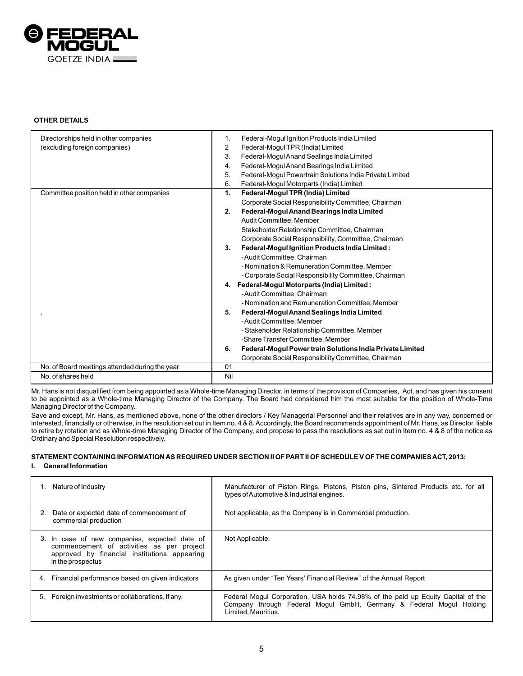

# **OTHER DETAILS**

| Directorships held in other companies          | Federal-Mogul Ignition Products India Limited<br>1.             |
|------------------------------------------------|-----------------------------------------------------------------|
| (excluding foreign companies)                  | Federal-Mogul TPR (India) Limited<br>2                          |
|                                                | Federal-Mogul Anand Sealings India Limited<br>3.                |
|                                                | Federal-Mogul Anand Bearings India Limited<br>4.                |
|                                                | 5.<br>Federal-Mogul Powertrain Solutions India Private Limited  |
|                                                | 6.<br>Federal-Mogul Motorparts (India) Limited                  |
| Committee position held in other companies     | Federal-Mogul TPR (India) Limited<br>$\mathbf{1}$ .             |
|                                                | Corporate Social Responsibility Committee, Chairman             |
|                                                | Federal-Mogul Anand Bearings India Limited<br>2.                |
|                                                | Audit Committee, Member                                         |
|                                                | Stakeholder Relationship Committee, Chairman                    |
|                                                | Corporate Social Responsibility, Committee, Chairman            |
|                                                | Federal-Mogul Ignition Products India Limited:<br>3.            |
|                                                | - Audit Committee, Chairman                                     |
|                                                | - Nomination & Remuneration Committee, Member                   |
|                                                | - Corporate Social Responsibility Committee, Chairman           |
|                                                | 4. Federal-Mogul Motorparts (India) Limited :                   |
|                                                | - Audit Committee, Chairman                                     |
|                                                | - Nomination and Remuneration Committee, Member                 |
|                                                | Federal-Mogul Anand Sealings India Limited<br>5.                |
|                                                | - Audit Committee, Member                                       |
|                                                | - Stakeholder Relationship Committee, Member                    |
|                                                | -Share Transfer Committee, Member                               |
|                                                | Federal-Mogul Power train Solutions India Private Limited<br>6. |
|                                                | Corporate Social Responsibility Committee, Chairman             |
| No. of Board meetings attended during the year | 01                                                              |
| No. of shares held                             | Nil                                                             |

Mr. Hans is not disqualified from being appointed as a Whole-time Managing Director, in terms of the provision of Companies, Act, and has given his consent to be appointed as a Whole-time Managing Director of the Company. The Board had considered him the most suitable for the position of Whole-Time Managing Director of the Company.

Save and except, Mr. Hans, as mentioned above, none of the other directors / Key Managerial Personnel and their relatives are in any way, concerned or interested, financially or otherwise, in the resolution set out in Item no. 4 & 8. Accordingly, the Board recommends appointment of Mr. Hans, as Director, liable to retire by rotation and as Whole-time Managing Director of the Company, and propose to pass the resolutions as set out in Item no. 4 & 8 of the notice as Ordinary and Special Resolution respectively.

# **STATEMENT CONTAINING INFORMATION AS REQUIRED UNDER SECTION II OF PART II OF SCHEDULE V OF THE COMPANIES ACT, 2013:**

# **I. General Information**

| Nature of Industry                                                                                                                                              | Manufacturer of Piston Rings, Pistons, Piston pins, Sintered Products etc. for all<br>types of Automotive & Industrial engines.                                                |
|-----------------------------------------------------------------------------------------------------------------------------------------------------------------|--------------------------------------------------------------------------------------------------------------------------------------------------------------------------------|
| Date or expected date of commencement of<br>commercial production                                                                                               | Not applicable, as the Company is in Commercial production.                                                                                                                    |
| 3. In case of new companies, expected date of<br>commencement of activities as per project<br>approved by financial institutions appearing<br>in the prospectus | Not Applicable.                                                                                                                                                                |
| Financial performance based on given indicators<br>4.                                                                                                           | As given under "Ten Years' Financial Review" of the Annual Report                                                                                                              |
| Foreign investments or collaborations, if any.<br>5.                                                                                                            | Federal Mogul Corporation, USA holds 74.98% of the paid up Equity Capital of the<br>Company through Federal Mogul GmbH, Germany & Federal Mogul Holding<br>Limited, Mauritius. |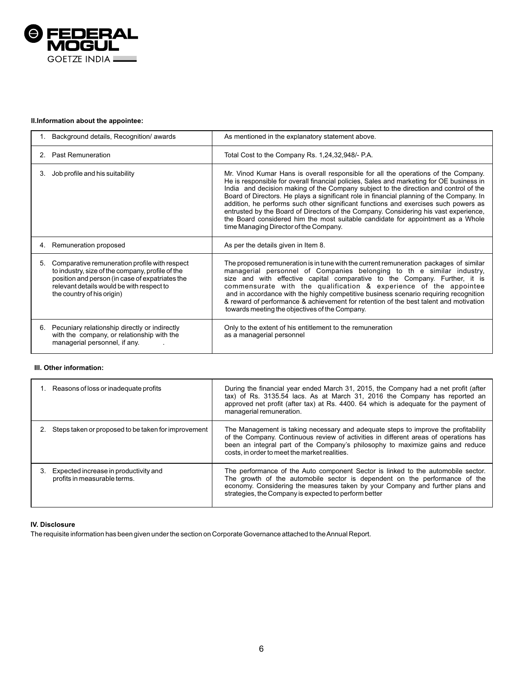

# **II.Information about the appointee:**

| Background details, Recognition/ awards                                                                                                                                                                                               | As mentioned in the explanatory statement above.                                                                                                                                                                                                                                                                                                                                                                                                                                                                                                                                                                                                                               |
|---------------------------------------------------------------------------------------------------------------------------------------------------------------------------------------------------------------------------------------|--------------------------------------------------------------------------------------------------------------------------------------------------------------------------------------------------------------------------------------------------------------------------------------------------------------------------------------------------------------------------------------------------------------------------------------------------------------------------------------------------------------------------------------------------------------------------------------------------------------------------------------------------------------------------------|
| 2. Past Remuneration                                                                                                                                                                                                                  | Total Cost to the Company Rs. 1,24,32,948/- P.A.                                                                                                                                                                                                                                                                                                                                                                                                                                                                                                                                                                                                                               |
| Job profile and his suitability<br>3.                                                                                                                                                                                                 | Mr. Vinod Kumar Hans is overall responsible for all the operations of the Company.<br>He is responsible for overall financial policies, Sales and marketing for OE business in<br>India and decision making of the Company subject to the direction and control of the<br>Board of Directors. He plays a significant role in financial planning of the Company. In<br>addition, he performs such other significant functions and exercises such powers as<br>entrusted by the Board of Directors of the Company. Considering his vast experience,<br>the Board considered him the most suitable candidate for appointment as a Whole<br>time Managing Director of the Company. |
| 4. Remuneration proposed                                                                                                                                                                                                              | As per the details given in Item 8.                                                                                                                                                                                                                                                                                                                                                                                                                                                                                                                                                                                                                                            |
| Comparative remuneration profile with respect<br>5.<br>to industry, size of the company, profile of the<br>position and person (in case of expatriates the<br>relevant details would be with respect to<br>the country of his origin) | The proposed remuneration is in tune with the current remuneration packages of similar<br>managerial personnel of Companies belonging to the similar industry,<br>size and with effective capital comparative to the Company. Further, it is<br>commensurate with the qualification & experience of the appointee<br>and in accordance with the highly competitive business scenario requiring recognition<br>& reward of performance & achievement for retention of the best talent and motivation<br>towards meeting the objectives of the Company.                                                                                                                          |
| 6. Pecuniary relationship directly or indirectly<br>with the company, or relationship with the<br>managerial personnel, if any.                                                                                                       | Only to the extent of his entitlement to the remuneration<br>as a managerial personnel                                                                                                                                                                                                                                                                                                                                                                                                                                                                                                                                                                                         |

# **III. Other information:**

| 1. Reasons of loss or inadequate profits                              | During the financial year ended March 31, 2015, the Company had a net profit (after<br>tax) of Rs. 3135.54 lacs. As at March 31, 2016 the Company has reported an<br>approved net profit (after tax) at Rs. 4400. 64 which is adequate for the payment of<br>managerial remuneration.                         |
|-----------------------------------------------------------------------|---------------------------------------------------------------------------------------------------------------------------------------------------------------------------------------------------------------------------------------------------------------------------------------------------------------|
| Steps taken or proposed to be taken for improvement                   | The Management is taking necessary and adequate steps to improve the profitability<br>of the Company. Continuous review of activities in different areas of operations has<br>been an integral part of the Company's philosophy to maximize gains and reduce<br>costs, in order to meet the market realities. |
| Expected increase in productivity and<br>profits in measurable terms. | The performance of the Auto component Sector is linked to the automobile sector.<br>The growth of the automobile sector is dependent on the performance of the<br>economy. Considering the measures taken by your Company and further plans and<br>strategies, the Company is expected to perform better      |

# **IV. Disclosure**

The requisite information has been given under the section on Corporate Governance attached to the Annual Report.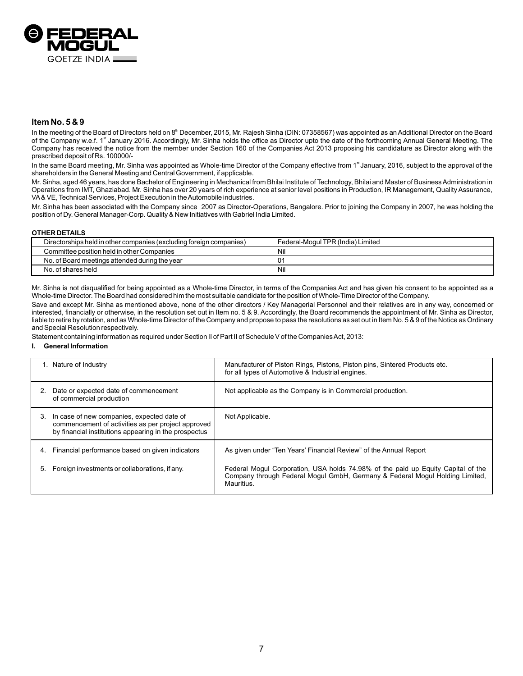

# **Item No. 5 & 9**

In the meeting of the Board of Directors held on 8<sup>th</sup> December, 2015, Mr. Rajesh Sinha (DIN: 07358567) was appointed as an Additional Director on the Board of the Company w.e.f. 1<sup>st</sup> January 2016. Accordingly, Mr. Sinha holds the office as Director upto the date of the forthcoming Annual General Meeting. The Company has received the notice from the member under Section 160 of the Companies Act 2013 proposing his candidature as Director along with the prescribed deposit of Rs. 100000/-

In the same Board meeting, Mr. Sinha was appointed as Whole-time Director of the Company effective from 1<sup>st</sup> January, 2016, subject to the approval of the shareholders in the General Meeting and Central Government, if applicable.

Mr. Sinha, aged 46 years, has done Bachelor of Engineering in Mechanical from Bhilai Institute of Technology, Bhilai and Master of Business Administration in Operations from IMT, Ghaziabad. Mr. Sinha has over 20 years of rich experience at senior level positions in Production, IR Management, Quality Assurance, VA& VE, Technical Services, Project Execution in the Automobile industries.

Mr. Sinha has been associated with the Company since 2007 as Director-Operations, Bangalore. Prior to joining the Company in 2007, he was holding the position of Dy. General Manager-Corp. Quality & New Initiatives with Gabriel India Limited.

## **OTHER DETAILS**

| Directorships held in other companies (excluding foreign companies) | Federal-Mogul TPR (India) Limited |
|---------------------------------------------------------------------|-----------------------------------|
| Committee position held in other Companies                          | Nil                               |
| No. of Board meetings attended during the year                      |                                   |
| No. of shares held                                                  | Nil                               |

Mr. Sinha is not disqualified for being appointed as a Whole-time Director, in terms of the Companies Act and has given his consent to be appointed as a Whole-time Director. The Board had considered him the most suitable candidate for the position of Whole-Time Director of the Company.

Save and except Mr. Sinha as mentioned above, none of the other directors / Key Managerial Personnel and their relatives are in any way, concerned or interested, financially or otherwise, in the resolution set out in Item no. 5 & 9. Accordingly, the Board recommends the appointment of Mr. Sinha as Director, liable to retire by rotation, and as Whole-time Director of the Company and propose to pass the resolutions as set out in Item No. 5 & 9 of the Notice as Ordinary and Special Resolution respectively.

Statement containing information as required under Section II of Part II of Schedule V of the Companies Act, 2013:

## **I. General Information**

|    | Nature of Industry                                                                                                                                        | Manufacturer of Piston Rings, Pistons, Piston pins, Sintered Products etc.<br>for all types of Automotive & Industrial engines.                                                |
|----|-----------------------------------------------------------------------------------------------------------------------------------------------------------|--------------------------------------------------------------------------------------------------------------------------------------------------------------------------------|
|    | Date or expected date of commencement<br>of commercial production                                                                                         | Not applicable as the Company is in Commercial production.                                                                                                                     |
| 3. | In case of new companies, expected date of<br>commencement of activities as per project approved<br>by financial institutions appearing in the prospectus | Not Applicable.                                                                                                                                                                |
| 4. | Financial performance based on given indicators                                                                                                           | As given under "Ten Years' Financial Review" of the Annual Report                                                                                                              |
| 5. | Foreign investments or collaborations, if any.                                                                                                            | Federal Mogul Corporation, USA holds 74.98% of the paid up Equity Capital of the<br>Company through Federal Mogul GmbH, Germany & Federal Mogul Holding Limited,<br>Mauritius. |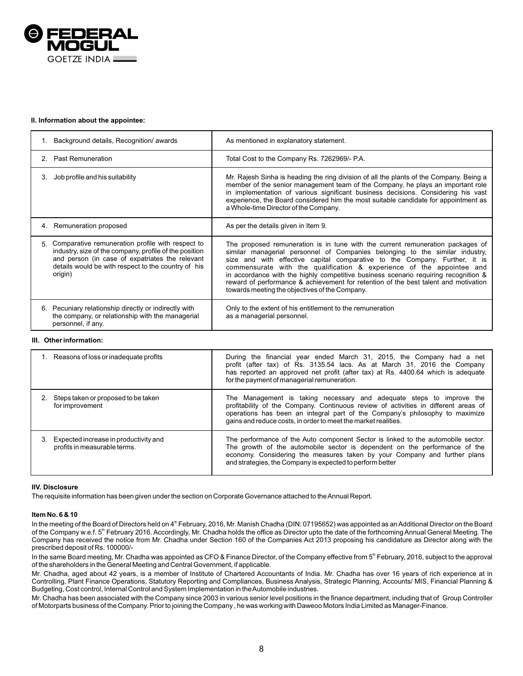

## **II. Information about the appointee:**

|                                       | Background details, Recognition/ awards                                                                                                                                                                              | As mentioned in explanatory statement.                                                                                                                                                                                                                                                                                                                                                                                                                                                                                                                |
|---------------------------------------|----------------------------------------------------------------------------------------------------------------------------------------------------------------------------------------------------------------------|-------------------------------------------------------------------------------------------------------------------------------------------------------------------------------------------------------------------------------------------------------------------------------------------------------------------------------------------------------------------------------------------------------------------------------------------------------------------------------------------------------------------------------------------------------|
| 2. Past Remuneration                  |                                                                                                                                                                                                                      | Total Cost to the Company Rs. 7262969/- P.A.                                                                                                                                                                                                                                                                                                                                                                                                                                                                                                          |
| Job profile and his suitability<br>3. |                                                                                                                                                                                                                      | Mr. Rajesh Sinha is heading the ring division of all the plants of the Company. Being a<br>member of the senior management team of the Company, he plays an important role<br>in implementation of various significant business decisions. Considering his vast<br>experience, the Board considered him the most suitable candidate for appointment as<br>a Whole-time Director of the Company.                                                                                                                                                       |
| 4. Remuneration proposed              |                                                                                                                                                                                                                      | As per the details given in Item 9.                                                                                                                                                                                                                                                                                                                                                                                                                                                                                                                   |
| 5.<br>origin)                         | Comparative remuneration profile with respect to<br>industry, size of the company, profile of the position<br>and person (in case of expatriates the relevant<br>details would be with respect to the country of his | The proposed remuneration is in tune with the current remuneration packages of<br>similar managerial personnel of Companies belonging to the similar industry.<br>size and with effective capital comparative to the Company. Further, it is<br>commensurate with the qualification & experience of the appointee and<br>in accordance with the highly competitive business scenario requiring recognition &<br>reward of performance & achievement for retention of the best talent and motivation<br>towards meeting the objectives of the Company. |
| 6.<br>personnel, if any.              | Pecuniary relationship directly or indirectly with<br>the company, or relationship with the managerial                                                                                                               | Only to the extent of his entitlement to the remuneration<br>as a managerial personnel.                                                                                                                                                                                                                                                                                                                                                                                                                                                               |

#### **III. Other information:**

| 1. Reasons of loss or inadequate profits                              | During the financial year ended March 31, 2015, the Company had a net<br>profit (after tax) of Rs. 3135.54 lacs. As at March 31, 2016 the Company<br>has reported an approved net profit (after tax) at Rs. 4400.64 which is adequate<br>for the payment of managerial remuneration.                          |
|-----------------------------------------------------------------------|---------------------------------------------------------------------------------------------------------------------------------------------------------------------------------------------------------------------------------------------------------------------------------------------------------------|
| Steps taken or proposed to be taken<br>for improvement                | The Management is taking necessary and adequate steps to improve the<br>profitability of the Company. Continuous review of activities in different areas of<br>operations has been an integral part of the Company's philosophy to maximize<br>gains and reduce costs, in order to meet the market realities. |
| Expected increase in productivity and<br>profits in measurable terms. | The performance of the Auto component Sector is linked to the automobile sector.<br>The growth of the automobile sector is dependent on the performance of the<br>economy. Considering the measures taken by your Company and further plans<br>and strategies, the Company is expected to perform better      |

## **IIV. Disclosure**

The requisite information has been given under the section on Corporate Governance attached to the Annual Report.

### **Item No. 6 & 10**

In the meeting of the Board of Directors held on 4<sup>th</sup> February, 2016, Mr. Manish Chadha (DIN: 07195652) was appointed as an Additional Director on the Board of the Company w.e.f. 5<sup>th</sup> February 2016. Accordingly, Mr. Chadha holds the office as Director upto the date of the forthcoming Annual General Meeting. The Company has received the notice from Mr. Chadha under Section 160 of the Companies Act 2013 proposing his candidature as Director along with the prescribed deposit of Rs. 100000/-

In the same Board meeting, Mr. Chadha was appointed as CFO & Finance Director, of the Company effective from 5<sup>th</sup> February, 2016, subject to the approval of the shareholders in the General Meeting and Central Government, if applicable.

Mr. Chadha, aged about 42 years, is a member of Institute of Chartered Accountants of India. Mr. Chadha has over 16 years of rich experience at in Controlling, Plant Finance Operations, Statutory Reporting and Compliances, Business Analysis, Strategic Planning, Accounts/ MIS, Financial Planning & Budgeting, Cost control, Internal Control and System Implementation in the Automobile industries.

Mr. Chadha has been associated with the Company since 2003 in various senior level positions in the finance department, including that of Group Controller of Motorparts business of the Company. Prior to joining the Company , he was working with Daweoo Motors India Limited as Manager-Finance.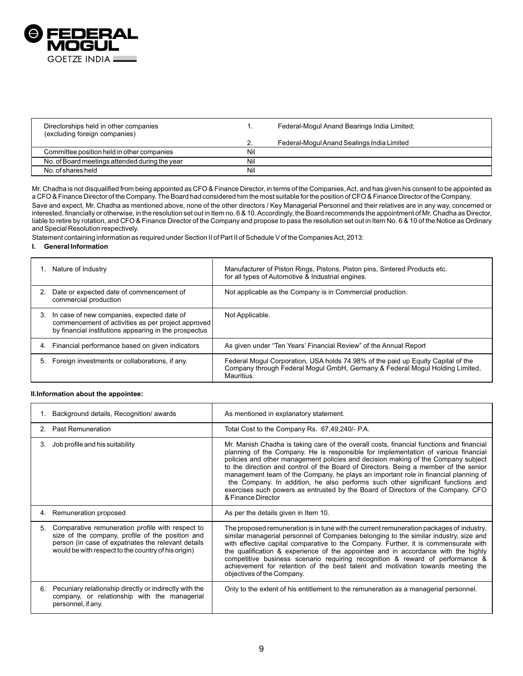

| Directorships held in other companies<br>(excluding foreign companies) |     | Federal-Mogul Anand Bearings India Limited; |
|------------------------------------------------------------------------|-----|---------------------------------------------|
|                                                                        |     | Federal-Mogul Anand Sealings India Limited  |
| Committee position held in other companies                             | Nil |                                             |
| No. of Board meetings attended during the year                         | Nil |                                             |
| No. of shares held                                                     | Nil |                                             |

Mr. Chadha is not disqualified from being appointed as CFO & Finance Director, in terms of the Companies, Act, and has given his consent to be appointed as a CFO & Finance Director of the Company. The Board had considered him the most suitable for the position of CFO & Finance Director of the Company.

Save and expect, Mr. Chadha as mentioned above, none of the other directors / Key Managerial Personnel and their relatives are in any way, concerned or interested, financially or otherwise, in the resolution set out in Item no. 6 & 10. Accordingly, the Board recommends the appointment of Mr. Chadha as Director, liable to retire by rotation, and CFO & Finance Director of the Company and propose to pass the resolution set out in Item No. 6 & 10 of the Notice as Ordinary and Special Resolution respectively.

Statement containing information as required under Section II of Part II of Schedule V of the Companies Act, 2013:

# **I. General Information**

|    | Nature of Industry                                                                                                                                        | Manufacturer of Piston Rings, Pistons, Piston pins, Sintered Products etc.<br>for all types of Automotive & Industrial engines.                                                |
|----|-----------------------------------------------------------------------------------------------------------------------------------------------------------|--------------------------------------------------------------------------------------------------------------------------------------------------------------------------------|
|    | Date or expected date of commencement of<br>commercial production                                                                                         | Not applicable as the Company is in Commercial production.                                                                                                                     |
| 3. | In case of new companies, expected date of<br>commencement of activities as per project approved<br>by financial institutions appearing in the prospectus | Not Applicable.                                                                                                                                                                |
| 4. | Financial performance based on given indicators                                                                                                           | As given under "Ten Years' Financial Review" of the Annual Report                                                                                                              |
|    | Foreign investments or collaborations, if any.                                                                                                            | Federal Mogul Corporation, USA holds 74.98% of the paid up Equity Capital of the<br>Company through Federal Mogul GmbH, Germany & Federal Mogul Holding Limited,<br>Mauritius. |

### **II.Information about the appointee:**

|    | Background details, Recognition/ awards                                                                                                                                                                            | As mentioned in explanatory statement.                                                                                                                                                                                                                                                                                                                                                                                                                                                                                                                                                                                                          |
|----|--------------------------------------------------------------------------------------------------------------------------------------------------------------------------------------------------------------------|-------------------------------------------------------------------------------------------------------------------------------------------------------------------------------------------------------------------------------------------------------------------------------------------------------------------------------------------------------------------------------------------------------------------------------------------------------------------------------------------------------------------------------------------------------------------------------------------------------------------------------------------------|
|    | 2. Past Remuneration                                                                                                                                                                                               | Total Cost to the Company Rs. 67,49,240/- P.A.                                                                                                                                                                                                                                                                                                                                                                                                                                                                                                                                                                                                  |
| 3. | Job profile and his suitability                                                                                                                                                                                    | Mr. Manish Chadha is taking care of the overall costs, financial functions and financial<br>planning of the Company. He is responsible for implementation of various financial<br>policies and other management policies and decision making of the Company subject<br>to the direction and control of the Board of Directors. Being a member of the senior<br>management team of the Company, he plays an important role in financial planning of<br>the Company. In addition, he also performs such other significant functions and<br>exercises such powers as entrusted by the Board of Directors of the Company. CFO<br>& Finance Director |
| 4. | Remuneration proposed                                                                                                                                                                                              | As per the details given in Item 10.                                                                                                                                                                                                                                                                                                                                                                                                                                                                                                                                                                                                            |
| 5. | Comparative remuneration profile with respect to<br>size of the company, profile of the position and<br>person (in case of expatriates the relevant details<br>would be with respect to the country of his origin) | The proposed remuneration is in tune with the current remuneration packages of industry.<br>similar managerial personnel of Companies belonging to the similar industry, size and<br>with effective capital comparative to the Company. Further, it is commensurate with<br>the qualification & experience of the appointee and in accordance with the highly<br>competitive business scenario requiring recognition & reward of performance &<br>achievement for retention of the best talent and motivation towards meeting the<br>objectives of the Company.                                                                                 |
| 6. | Pecuniary relationship directly or indirectly with the<br>company, or relationship with the managerial<br>personnel, if any.                                                                                       | Only to the extent of his entitlement to the remuneration as a managerial personnel.                                                                                                                                                                                                                                                                                                                                                                                                                                                                                                                                                            |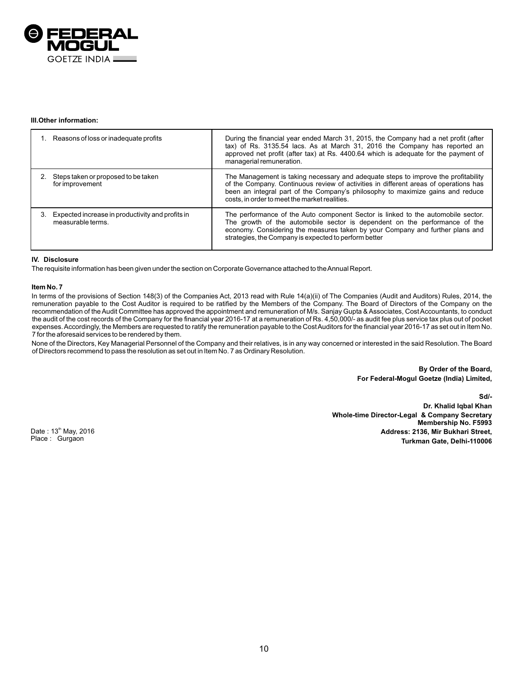

# **III.Other information:**

| Reasons of loss or inadequate profits                                 | During the financial year ended March 31, 2015, the Company had a net profit (after<br>tax) of Rs. 3135.54 lacs. As at March 31, 2016 the Company has reported an<br>approved net profit (after tax) at Rs. 4400.64 which is adequate for the payment of<br>managerial remuneration.                          |
|-----------------------------------------------------------------------|---------------------------------------------------------------------------------------------------------------------------------------------------------------------------------------------------------------------------------------------------------------------------------------------------------------|
| Steps taken or proposed to be taken<br>for improvement                | The Management is taking necessary and adequate steps to improve the profitability<br>of the Company. Continuous review of activities in different areas of operations has<br>been an integral part of the Company's philosophy to maximize gains and reduce<br>costs, in order to meet the market realities. |
| Expected increase in productivity and profits in<br>measurable terms. | The performance of the Auto component Sector is linked to the automobile sector.<br>The growth of the automobile sector is dependent on the performance of the<br>economy. Considering the measures taken by your Company and further plans and<br>strategies, the Company is expected to perform better      |

# **IV. Disclosure**

The requisite information has been given under the section on Corporate Governance attached to the Annual Report.

### **Item No. 7**

In terms of the provisions of Section 148(3) of the Companies Act, 2013 read with Rule 14(a)(ii) of The Companies (Audit and Auditors) Rules, 2014, the remuneration payable to the Cost Auditor is required to be ratified by the Members of the Company. The Board of Directors of the Company on the recommendation of the Audit Committee has approved the appointment and remuneration of M/s. Sanjay Gupta & Associates, Cost Accountants, to conduct the audit of the cost records of the Company for the financial year 2016-17 at a remuneration of Rs. 4,50,000/- as audit fee plus service tax plus out of pocket expenses. Accordingly, the Members are requested to ratify the remuneration payable to the Cost Auditors for the financial year 2016-17 as set out in Item No. 7 for the aforesaid services to be rendered by them.

None of the Directors, Key Managerial Personnel of the Company and their relatives, is in any way concerned or interested in the said Resolution. The Board of Directors recommend to pass the resolution as set out in Item No. 7 as Ordinary Resolution.

> **By Order of the Board, For Federal-Mogul Goetze (India) Limited,**

**Sd/- Dr. Khalid Iqbal Khan Whole-time Director-Legal & Company Secretary Membership No. F5993 Address: 2136, Mir Bukhari Street, Turkman Gate, Delhi-110006**

Date: 13<sup>th</sup> May, 2016 Place : Gurgaon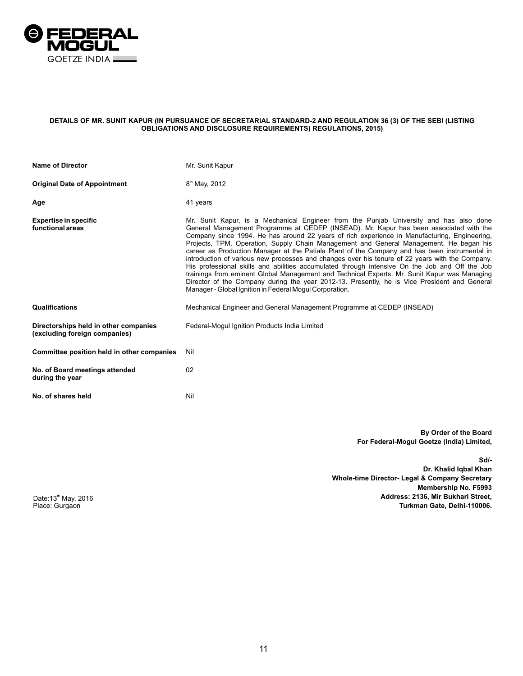

## **DETAILS OF MR. SUNIT KAPUR (IN PURSUANCE OF SECRETARIAL STANDARD-2 AND REGULATION 36 (3) OF THE SEBI (LISTING OBLIGATIONS AND DISCLOSURE REQUIREMENTS) REGULATIONS, 2015)**

| <b>Name of Director</b>                                                | Mr. Sunit Kapur                                                                                                                                                                                                                                                                                                                                                                                                                                                                                                                                                                                                                                                                                                                                                                                                                                                                                                                             |
|------------------------------------------------------------------------|---------------------------------------------------------------------------------------------------------------------------------------------------------------------------------------------------------------------------------------------------------------------------------------------------------------------------------------------------------------------------------------------------------------------------------------------------------------------------------------------------------------------------------------------------------------------------------------------------------------------------------------------------------------------------------------------------------------------------------------------------------------------------------------------------------------------------------------------------------------------------------------------------------------------------------------------|
| <b>Original Date of Appointment</b>                                    | 8 <sup>th</sup> May, 2012                                                                                                                                                                                                                                                                                                                                                                                                                                                                                                                                                                                                                                                                                                                                                                                                                                                                                                                   |
| Age                                                                    | 41 years                                                                                                                                                                                                                                                                                                                                                                                                                                                                                                                                                                                                                                                                                                                                                                                                                                                                                                                                    |
| <b>Expertise in specific</b><br>functional areas                       | Mr. Sunit Kapur, is a Mechanical Engineer from the Punjab University and has also done<br>General Management Programme at CEDEP (INSEAD). Mr. Kapur has been associated with the<br>Company since 1994. He has around 22 years of rich experience in Manufacturing, Engineering,<br>Projects, TPM, Operation, Supply Chain Management and General Management. He began his<br>career as Production Manager at the Patiala Plant of the Company and has been instrumental in<br>introduction of various new processes and changes over his tenure of 22 years with the Company.<br>His professional skills and abilities accumulated through intensive On the Job and Off the Job<br>trainings from eminent Global Management and Technical Experts. Mr. Sunit Kapur was Managing<br>Director of the Company during the year 2012-13. Presently, he is Vice President and General<br>Manager - Global Ignition in Federal Mogul Corporation. |
| Qualifications                                                         | Mechanical Engineer and General Management Programme at CEDEP (INSEAD)                                                                                                                                                                                                                                                                                                                                                                                                                                                                                                                                                                                                                                                                                                                                                                                                                                                                      |
| Directorships held in other companies<br>(excluding foreign companies) | Federal-Mogul Ignition Products India Limited                                                                                                                                                                                                                                                                                                                                                                                                                                                                                                                                                                                                                                                                                                                                                                                                                                                                                               |
| Committee position held in other companies                             | Nil                                                                                                                                                                                                                                                                                                                                                                                                                                                                                                                                                                                                                                                                                                                                                                                                                                                                                                                                         |
| No. of Board meetings attended<br>during the year                      | 02                                                                                                                                                                                                                                                                                                                                                                                                                                                                                                                                                                                                                                                                                                                                                                                                                                                                                                                                          |
| No. of shares held                                                     | Nil                                                                                                                                                                                                                                                                                                                                                                                                                                                                                                                                                                                                                                                                                                                                                                                                                                                                                                                                         |

**By Order of the Board For Federal-Mogul Goetze (India) Limited,**

**Sd/-**

**Dr. Khalid Iqbal Khan Whole-time Director- Legal & Company Secretary Membership No. F5993 Address: 2136, Mir Bukhari Street,** Turkman Gate, Delhi-110006.

Date:13<sup>th</sup> May, 2016<br>Place: Gurgaon